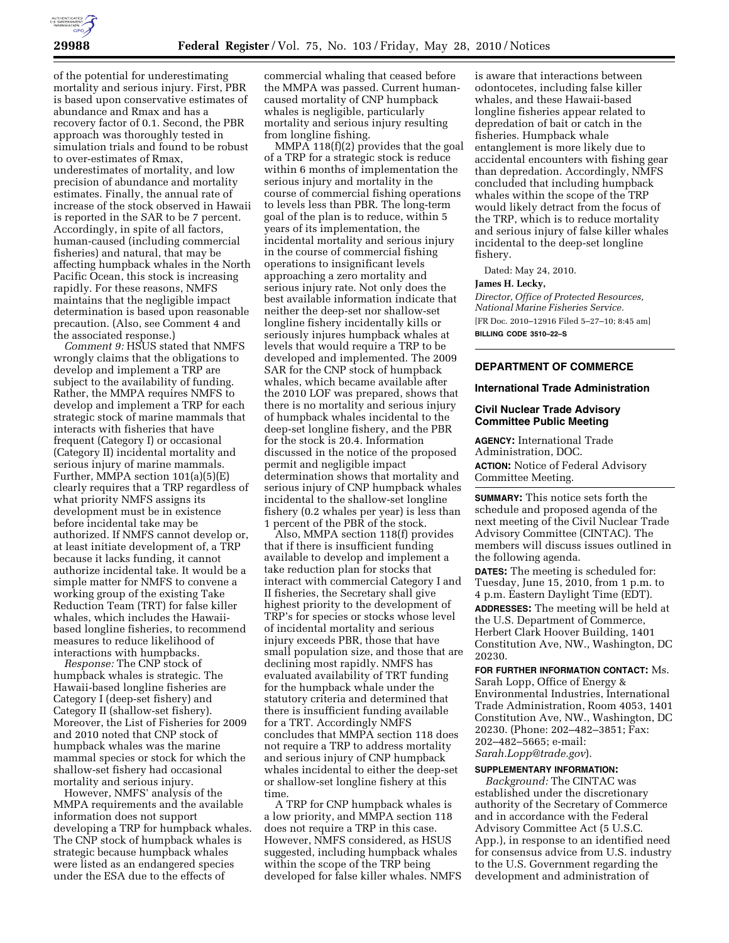

of the potential for underestimating mortality and serious injury. First, PBR is based upon conservative estimates of abundance and Rmax and has a recovery factor of 0.1. Second, the PBR approach was thoroughly tested in simulation trials and found to be robust to over-estimates of Rmax, underestimates of mortality, and low precision of abundance and mortality estimates. Finally, the annual rate of increase of the stock observed in Hawaii is reported in the SAR to be 7 percent. Accordingly, in spite of all factors, human-caused (including commercial fisheries) and natural, that may be affecting humpback whales in the North Pacific Ocean, this stock is increasing rapidly. For these reasons, NMFS maintains that the negligible impact determination is based upon reasonable precaution. (Also, see Comment 4 and the associated response.)

*Comment 9:* HSUS stated that NMFS wrongly claims that the obligations to develop and implement a TRP are subject to the availability of funding. Rather, the MMPA requires NMFS to develop and implement a TRP for each strategic stock of marine mammals that interacts with fisheries that have frequent (Category I) or occasional (Category II) incidental mortality and serious injury of marine mammals. Further, MMPA section 101(a)(5)(E) clearly requires that a TRP regardless of what priority NMFS assigns its development must be in existence before incidental take may be authorized. If NMFS cannot develop or, at least initiate development of, a TRP because it lacks funding, it cannot authorize incidental take. It would be a simple matter for NMFS to convene a working group of the existing Take Reduction Team (TRT) for false killer whales, which includes the Hawaiibased longline fisheries, to recommend measures to reduce likelihood of interactions with humpbacks.

*Response:* The CNP stock of humpback whales is strategic. The Hawaii-based longline fisheries are Category I (deep-set fishery) and Category II (shallow-set fishery). Moreover, the List of Fisheries for 2009 and 2010 noted that CNP stock of humpback whales was the marine mammal species or stock for which the shallow-set fishery had occasional mortality and serious injury.

However, NMFS' analysis of the MMPA requirements and the available information does not support developing a TRP for humpback whales. The CNP stock of humpback whales is strategic because humpback whales were listed as an endangered species under the ESA due to the effects of

commercial whaling that ceased before the MMPA was passed. Current humancaused mortality of CNP humpback whales is negligible, particularly mortality and serious injury resulting from longline fishing.

MMPA 118(f)(2) provides that the goal of a TRP for a strategic stock is reduce within 6 months of implementation the serious injury and mortality in the course of commercial fishing operations to levels less than PBR. The long-term goal of the plan is to reduce, within 5 years of its implementation, the incidental mortality and serious injury in the course of commercial fishing operations to insignificant levels approaching a zero mortality and serious injury rate. Not only does the best available information indicate that neither the deep-set nor shallow-set longline fishery incidentally kills or seriously injures humpback whales at levels that would require a TRP to be developed and implemented. The 2009 SAR for the CNP stock of humpback whales, which became available after the 2010 LOF was prepared, shows that there is no mortality and serious injury of humpback whales incidental to the deep-set longline fishery, and the PBR for the stock is 20.4. Information discussed in the notice of the proposed permit and negligible impact determination shows that mortality and serious injury of CNP humpback whales incidental to the shallow-set longline fishery (0.2 whales per year) is less than 1 percent of the PBR of the stock.

Also, MMPA section 118(f) provides that if there is insufficient funding available to develop and implement a take reduction plan for stocks that interact with commercial Category I and II fisheries, the Secretary shall give highest priority to the development of TRP's for species or stocks whose level of incidental mortality and serious injury exceeds PBR, those that have small population size, and those that are declining most rapidly. NMFS has evaluated availability of TRT funding for the humpback whale under the statutory criteria and determined that there is insufficient funding available for a TRT. Accordingly NMFS concludes that MMPA section 118 does not require a TRP to address mortality and serious injury of CNP humpback whales incidental to either the deep-set or shallow-set longline fishery at this time.

A TRP for CNP humpback whales is a low priority, and MMPA section 118 does not require a TRP in this case. However, NMFS considered, as HSUS suggested, including humpback whales within the scope of the TRP being developed for false killer whales. NMFS

is aware that interactions between odontocetes, including false killer whales, and these Hawaii-based longline fisheries appear related to depredation of bait or catch in the fisheries. Humpback whale entanglement is more likely due to accidental encounters with fishing gear than depredation. Accordingly, NMFS concluded that including humpback whales within the scope of the TRP would likely detract from the focus of the TRP, which is to reduce mortality and serious injury of false killer whales incidental to the deep-set longline fishery.

Dated: May 24, 2010.

### **James H. Lecky,**

*Director, Office of Protected Resources, National Marine Fisheries Service.*  [FR Doc. 2010–12916 Filed 5–27–10; 8:45 am] **BILLING CODE 3510–22–S** 

## **DEPARTMENT OF COMMERCE**

#### **International Trade Administration**

### **Civil Nuclear Trade Advisory Committee Public Meeting**

**AGENCY:** International Trade Administration, DOC. **ACTION:** Notice of Federal Advisory Committee Meeting.

**SUMMARY:** This notice sets forth the schedule and proposed agenda of the next meeting of the Civil Nuclear Trade Advisory Committee (CINTAC). The members will discuss issues outlined in the following agenda.

**DATES:** The meeting is scheduled for: Tuesday, June 15, 2010, from 1 p.m. to 4 p.m. Eastern Daylight Time (EDT).

**ADDRESSES:** The meeting will be held at the U.S. Department of Commerce, Herbert Clark Hoover Building, 1401 Constitution Ave, NW., Washington, DC 20230.

**FOR FURTHER INFORMATION CONTACT:** Ms. Sarah Lopp, Office of Energy & Environmental Industries, International Trade Administration, Room 4053, 1401 Constitution Ave, NW., Washington, DC 20230. (Phone: 202–482–3851; Fax: 202–482–5665; e-mail: *Sarah.Lopp@trade.gov*).

### **SUPPLEMENTARY INFORMATION:**

*Background:* The CINTAC was established under the discretionary authority of the Secretary of Commerce and in accordance with the Federal Advisory Committee Act (5 U.S.C. App.), in response to an identified need for consensus advice from U.S. industry to the U.S. Government regarding the development and administration of